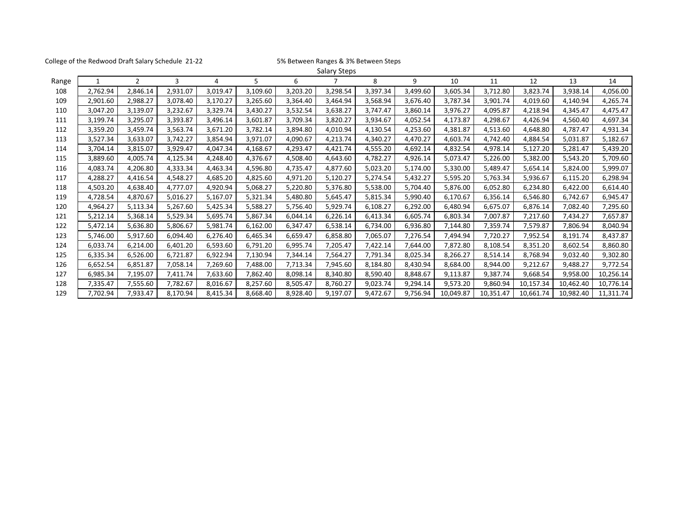College of the Redwood Draft Salary Schedule 21-22 5% Between Ranges & 3% Between Steps

|       |          |                |          |          |          |          | Salary Steps |          |          |           |           |           |           |           |
|-------|----------|----------------|----------|----------|----------|----------|--------------|----------|----------|-----------|-----------|-----------|-----------|-----------|
| Range | 1        | $\overline{2}$ | 3        | 4        | 5        | 6        |              | 8        | 9        | 10        | 11        | 12        | 13        | 14        |
| 108   | 2,762.94 | 2,846.14       | 2,931.07 | 3,019.47 | 3,109.60 | 3,203.20 | 3,298.54     | 3,397.34 | 3,499.60 | 3,605.34  | 3,712.80  | 3,823.74  | 3,938.14  | 4,056.00  |
| 109   | 2,901.60 | 2,988.27       | 3,078.40 | 3,170.27 | 3,265.60 | 3,364.40 | 3,464.94     | 3,568.94 | 3,676.40 | 3,787.34  | 3,901.74  | 4,019.60  | 4,140.94  | 4,265.74  |
| 110   | 3,047.20 | 3,139.07       | 3,232.67 | 3,329.74 | 3,430.27 | 3,532.54 | 3,638.27     | 3,747.47 | 3,860.14 | 3,976.27  | 4,095.87  | 4,218.94  | 4,345.47  | 4,475.47  |
| 111   | 3,199.74 | 3,295.07       | 3,393.87 | 3,496.14 | 3,601.87 | 3,709.34 | 3,820.27     | 3,934.67 | 4,052.54 | 4,173.87  | 4,298.67  | 4,426.94  | 4,560.40  | 4,697.34  |
| 112   | 3,359.20 | 3,459.74       | 3,563.74 | 3,671.20 | 3,782.14 | 3,894.80 | 4,010.94     | 4,130.54 | 4,253.60 | 4,381.87  | 4,513.60  | 4,648.80  | 4,787.47  | 4,931.34  |
| 113   | 3,527.34 | 3,633.07       | 3,742.27 | 3,854.94 | 3,971.07 | 4,090.67 | 4,213.74     | 4,340.27 | 4,470.27 | 4,603.74  | 4,742.40  | 4,884.54  | 5,031.87  | 5,182.67  |
| 114   | 3,704.14 | 3,815.07       | 3,929.47 | 4,047.34 | 4,168.67 | 4,293.47 | 4,421.74     | 4,555.20 | 4,692.14 | 4,832.54  | 4,978.14  | 5,127.20  | 5,281.47  | 5,439.20  |
| 115   | 3,889.60 | 4,005.74       | 4,125.34 | 4,248.40 | 4,376.67 | 4,508.40 | 4,643.60     | 4,782.27 | 4,926.14 | 5,073.47  | 5,226.00  | 5,382.00  | 5,543.20  | 5,709.60  |
| 116   | 4,083.74 | 4,206.80       | 4,333.34 | 4,463.34 | 4,596.80 | 4,735.47 | 4,877.60     | 5,023.20 | 5,174.00 | 5,330.00  | 5,489.47  | 5,654.14  | 5,824.00  | 5,999.07  |
| 117   | 4,288.27 | 4,416.54       | 4,548.27 | 4,685.20 | 4,825.60 | 4,971.20 | 5,120.27     | 5,274.54 | 5,432.27 | 5,595.20  | 5,763.34  | 5,936.67  | 6,115.20  | 6,298.94  |
| 118   | 4,503.20 | 4,638.40       | 4,777.07 | 4,920.94 | 5,068.27 | 5,220.80 | 5,376.80     | 5,538.00 | 5,704.40 | 5,876.00  | 6,052.80  | 6,234.80  | 6,422.00  | 6,614.40  |
| 119   | 4,728.54 | 4,870.67       | 5,016.27 | 5,167.07 | 5,321.34 | 5,480.80 | 5,645.47     | 5,815.34 | 5,990.40 | 6,170.67  | 6,356.14  | 6,546.80  | 6,742.67  | 6,945.47  |
| 120   | 4,964.27 | 5,113.34       | 5,267.60 | 5,425.34 | 5,588.27 | 5,756.40 | 5,929.74     | 6,108.27 | 6,292.00 | 6,480.94  | 6,675.07  | 6,876.14  | 7,082.40  | 7,295.60  |
| 121   | 5,212.14 | 5,368.14       | 5,529.34 | 5,695.74 | 5,867.34 | 6,044.14 | 6,226.14     | 6,413.34 | 6,605.74 | 6,803.34  | 7,007.87  | 7,217.60  | 7,434.27  | 7,657.87  |
| 122   | 5,472.14 | 5,636.80       | 5,806.67 | 5,981.74 | 6,162.00 | 6,347.47 | 6,538.14     | 6,734.00 | 6,936.80 | 7,144.80  | 7,359.74  | 7,579.87  | 7,806.94  | 8,040.94  |
| 123   | 5,746.00 | 5,917.60       | 6,094.40 | 6,276.40 | 6,465.34 | 6,659.47 | 6,858.80     | 7,065.07 | 7,276.54 | 7,494.94  | 7,720.27  | 7,952.54  | 8,191.74  | 8,437.87  |
| 124   | 6,033.74 | 6,214.00       | 6,401.20 | 6,593.60 | 6,791.20 | 6,995.74 | 7,205.47     | 7,422.14 | 7,644.00 | 7,872.80  | 8,108.54  | 8,351.20  | 8,602.54  | 8,860.80  |
| 125   | 6,335.34 | 6,526.00       | 6,721.87 | 6,922.94 | 7,130.94 | 7,344.14 | 7,564.27     | 7,791.34 | 8,025.34 | 8,266.27  | 8,514.14  | 8,768.94  | 9,032.40  | 9,302.80  |
| 126   | 6,652.54 | 6,851.87       | 7,058.14 | 7,269.60 | 7,488.00 | 7,713.34 | 7,945.60     | 8,184.80 | 8,430.94 | 8,684.00  | 8,944.00  | 9,212.67  | 9,488.27  | 9,772.54  |
| 127   | 6,985.34 | 7,195.07       | 7,411.74 | 7,633.60 | 7,862.40 | 8,098.14 | 8,340.80     | 8,590.40 | 8,848.67 | 9,113.87  | 9,387.74  | 9,668.54  | 9,958.00  | 10,256.14 |
| 128   | 7,335.47 | 7,555.60       | 7,782.67 | 8,016.67 | 8,257.60 | 8,505.47 | 8,760.27     | 9,023.74 | 9,294.14 | 9,573.20  | 9,860.94  | 10,157.34 | 10,462.40 | 10,776.14 |
| 129   | 7,702.94 | 7,933.47       | 8,170.94 | 8,415.34 | 8,668.40 | 8,928.40 | 9,197.07     | 9,472.67 | 9,756.94 | 10,049.87 | 10,351.47 | 10,661.74 | 10,982.40 | 11,311.74 |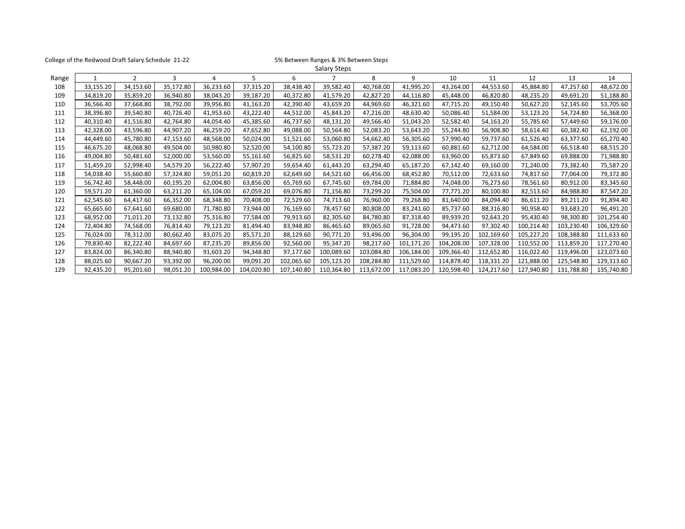| College of the Redwood Draft Salary Schedule 21-22 |           |                |           |            | 5% Between Ranges & 3% Between Steps |            |            |            |            |            |            |            |            |            |
|----------------------------------------------------|-----------|----------------|-----------|------------|--------------------------------------|------------|------------|------------|------------|------------|------------|------------|------------|------------|
| Salary Steps                                       |           |                |           |            |                                      |            |            |            |            |            |            |            |            |            |
| Range                                              |           | $\overline{2}$ | 3         | 4          | 5                                    | 6          |            | 8          | 9          | 10         | 11         | 12         | 13         | 14         |
| 108                                                | 33,155.20 | 34,153.60      | 35,172.80 | 36,233.60  | 37,315.20                            | 38,438.40  | 39,582.40  | 40,768.00  | 41,995.20  | 43,264.00  | 44,553.60  | 45,884.80  | 47,257.60  | 48,672.00  |
| 109                                                | 34,819.20 | 35,859.20      | 36,940.80 | 38,043.20  | 39,187.20                            | 40,372.80  | 41,579.20  | 42,827.20  | 44,116.80  | 45,448.00  | 46,820.80  | 48,235.20  | 49,691.20  | 51,188.80  |
| 110                                                | 36,566.40 | 37,668.80      | 38,792.00 | 39,956.80  | 41,163.20                            | 42,390.40  | 43,659.20  | 44,969.60  | 46,321.60  | 47,715.20  | 49,150.40  | 50,627.20  | 52,145.60  | 53,705.60  |
| 111                                                | 38,396.80 | 39,540.80      | 40,726.40 | 41,953.60  | 43,222.40                            | 44,512.00  | 45,843.20  | 47,216.00  | 48,630.40  | 50,086.40  | 51,584.00  | 53,123.20  | 54,724.80  | 56,368.00  |
| 112                                                | 40,310.40 | 41,516.80      | 42,764.80 | 44,054.40  | 45,385.60                            | 46,737.60  | 48,131.20  | 49,566.40  | 51,043.20  | 52,582.40  | 54,163.20  | 55,785.60  | 57,449.60  | 59,176.00  |
| 113                                                | 42,328.00 | 43.596.80      | 44.907.20 | 46,259.20  | 47,652.80                            | 49,088.00  | 50,564.80  | 52,083.20  | 53.643.20  | 55,244.80  | 56.908.80  | 58,614.40  | 60.382.40  | 62,192.00  |
| 114                                                | 44,449.60 | 45,780.80      | 47,153.60 | 48,568.00  | 50,024.00                            | 51,521.60  | 53,060.80  | 54,662.40  | 56,305.60  | 57,990.40  | 59,737.60  | 61,526.40  | 63,377.60  | 65,270.40  |
| 115                                                | 46,675.20 | 48,068.80      | 49,504.00 | 50,980.80  | 52,520.00                            | 54,100.80  | 55,723.20  | 57,387.20  | 59,113.60  | 60,881.60  | 62,712.00  | 64,584.00  | 66,518.40  | 68,515.20  |
| 116                                                | 49,004.80 | 50,481.60      | 52,000.00 | 53,560.00  | 55,161.60                            | 56,825.60  | 58,531.20  | 60,278.40  | 62,088.00  | 63,960.00  | 65,873.60  | 67,849.60  | 69,888.00  | 71,988.80  |
| 117                                                | 51,459.20 | 52,998.40      | 54,579.20 | 56,222.40  | 57,907.20                            | 59,654.40  | 61,443.20  | 63,294.40  | 65,187.20  | 67,142.40  | 69,160.00  | 71,240.00  | 73,382.40  | 75,587.20  |
| 118                                                | 54,038.40 | 55,660.80      | 57,324.80 | 59,051.20  | 60,819.20                            | 62,649.60  | 64,521.60  | 66,456.00  | 68,452.80  | 70,512.00  | 72,633.60  | 74,817.60  | 77,064.00  | 79,372.80  |
| 119                                                | 56,742.40 | 58,448.00      | 60,195.20 | 62,004.80  | 63,856.00                            | 65,769.60  | 67,745.60  | 69,784.00  | 71,884.80  | 74,048.00  | 76,273.60  | 78,561.60  | 80,912.00  | 83,345.60  |
| 120                                                | 59,571.20 | 61,360.00      | 63,211.20 | 65,104.00  | 67,059.20                            | 69,076.80  | 71,156.80  | 73,299.20  | 75,504.00  | 77,771.20  | 80,100.80  | 82,513.60  | 84,988.80  | 87,547.20  |
| 121                                                | 62,545.60 | 64,417.60      | 66,352.00 | 68,348.80  | 70,408.00                            | 72,529.60  | 74,713.60  | 76,960.00  | 79,268.80  | 81,640.00  | 84,094.40  | 86,611.20  | 89,211.20  | 91,894.40  |
| 122                                                | 65,665.60 | 67,641.60      | 69,680.00 | 71,780.80  | 73,944.00                            | 76,169.60  | 78,457.60  | 80,808.00  | 83,241.60  | 85,737.60  | 88,316.80  | 90,958.40  | 93,683.20  | 96,491.20  |
| 123                                                | 68,952.00 | 71,011.20      | 73,132.80 | 75,316.80  | 77,584.00                            | 79,913.60  | 82,305.60  | 84,780.80  | 87,318.40  | 89,939.20  | 92,643.20  | 95,430.40  | 98,300.80  | 101,254.40 |
| 124                                                | 72,404.80 | 74,568.00      | 76,814.40 | 79,123.20  | 81,494.40                            | 83,948.80  | 86,465.60  | 89,065.60  | 91,728.00  | 94,473.60  | 97,302.40  | 100,214.40 | 103,230.40 | 106,329.60 |
| 125                                                | 76,024.00 | 78,312.00      | 80,662.40 | 83,075.20  | 85,571.20                            | 88,129.60  | 90,771.20  | 93,496.00  | 96,304.00  | 99,195.20  | 102,169.60 | 105,227.20 | 108,388.80 | 111,633.60 |
| 126                                                | 79,830.40 | 82,222.40      | 84,697.60 | 87,235.20  | 89,856.00                            | 92,560.00  | 95,347.20  | 98,217.60  | 101.171.20 | 104,208.00 | 107,328.00 | 110,552.00 | 113,859.20 | 117,270.40 |
| 127                                                | 83,824.00 | 86,340.80      | 88,940.80 | 91,603.20  | 94,348.80                            | 97,177.60  | 100,089.60 | 103,084.80 | 106,184.00 | 109,366.40 | 112,652.80 | 116,022.40 | 119,496.00 | 123,073.60 |
| 128                                                | 88,025.60 | 90,667.20      | 93,392.00 | 96,200.00  | 99,091.20                            | 102,065.60 | 105,123.20 | 108,284.80 | 111,529.60 | 114,878.40 | 118,331.20 | 121,888.00 | 125,548.80 | 129,313.60 |
| 129                                                | 92,435.20 | 95,201.60      | 98,051.20 | 100,984.00 | 104,020.80                           | 107,140.80 | 110,364.80 | 113,672.00 | 117,083.20 | 120,598.40 | 124,217.60 | 127,940.80 | 131,788.80 | 135,740.80 |